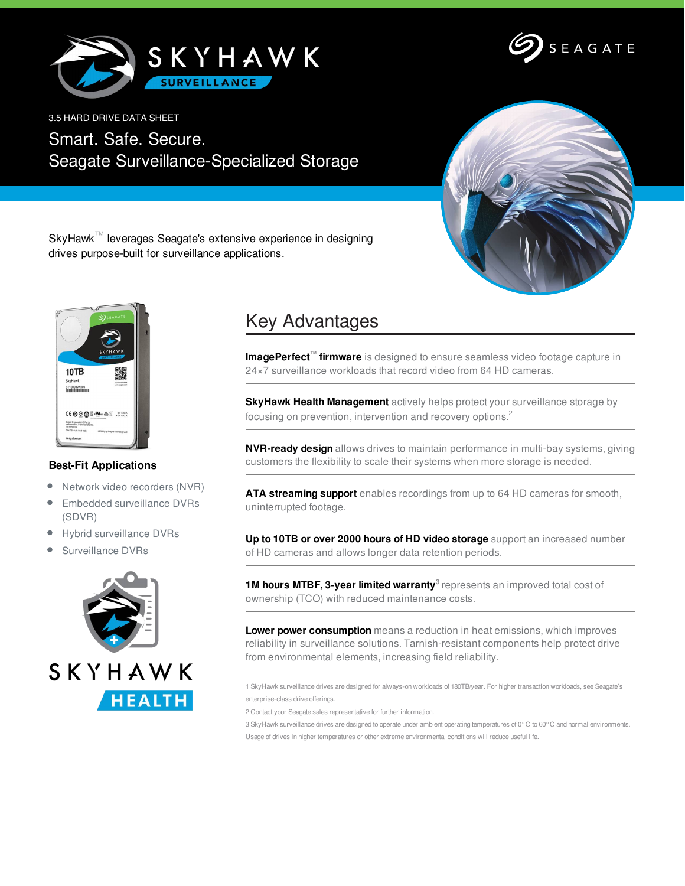



3.5 HARD DRIVE DATA SHEET

Smart. Safe. Secure. Seagate Surveillance-Specialized Storage



SkyHawk™ leverages Seagate's extensive experience in designing drives purpose-built for surveillance applications.



## **Best-Fit Applications**

- $\bullet$ Network video recorders (NVR)
- $\bullet$ Embedded surveillance DVRs (SDVR)
- Hybrid surveillance DVRs  $\bullet$
- Surveillance DVRs



## Key Advantages

**ImagePerfect™ firmware** is designed to ensure seamless video footage capture in 24×7 surveillance workloads that record video from 64 HD cameras.

**SkyHawk Health Management** actively helps protect your surveillance storage by focusing on prevention, intervention and recovery options.<sup>2</sup>

**NVR-ready design** allows drives to maintain performance in multi-bay systems, giving customers the flexibility to scale their systems when more storage is needed.

**ATA streaming support** enables recordings from up to 64 HD cameras for smooth, uninterrupted footage.

**Up to 10TB or over 2000 hours of HD video storage** support an increased number of HD cameras and allows longer data retention periods.

**1M hours MTBF, 3-year limited warranty 3** represents an improved total cost of ownership (TCO) with reduced maintenance costs.

**Lower power consumption** means a reduction in heat emissions, which improves reliability in surveillance solutions. Tarnish-resistant components help protect drive from environmental elements, increasing field reliability.

1 SkyHawk surveillance drives are designed for always-on workloads of 180TB/year. For higher transaction workloads, see Seagate's enterprise-class drive offerings.

2 Contact your Seagate sales representative for further information.

3 SkyHawk surveillance drives are designed to operate under ambient operating temperatures of 0°C to 60°C and normal environments. Usage of drives in higher temperatures or other extreme environmental conditions will reduce useful life.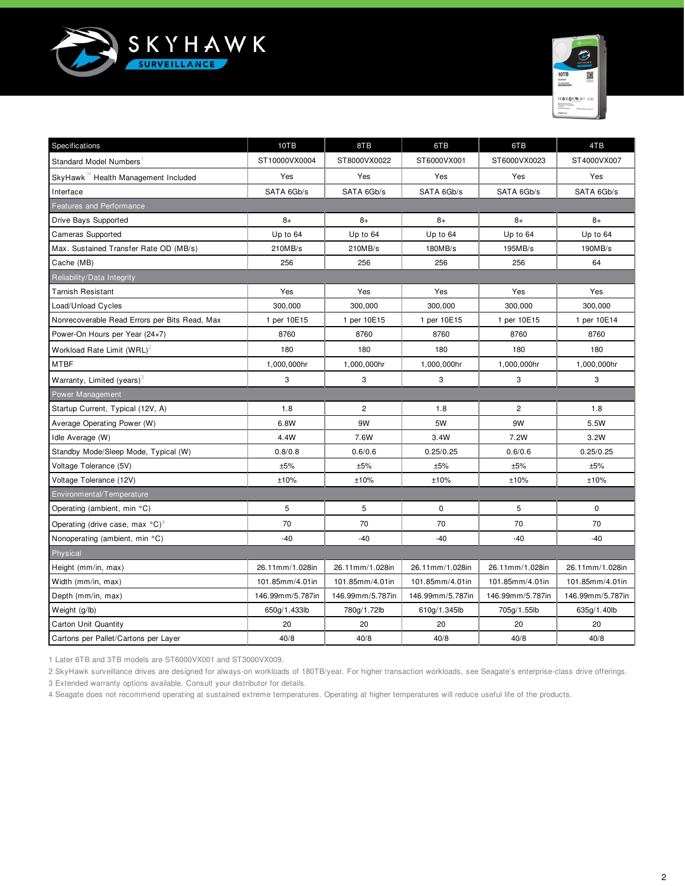



| Specifications                                        | 10TB             | 8TB              | 6TB              | 6TB              | 4TB              |  |  |  |
|-------------------------------------------------------|------------------|------------------|------------------|------------------|------------------|--|--|--|
| <b>Standard Model Numbers</b>                         | ST10000VX0004    | ST8000VX0022     | ST6000VX001      | ST6000VX0023     | ST4000VX007      |  |  |  |
| SkyHawk™ Health Management Included                   | Yes              | Yes              | Yes              | Yes              | Yes              |  |  |  |
| Interface                                             | SATA 6Gb/s       | SATA 6Gb/s       | SATA 6Gb/s       | SATA 6Gb/s       | SATA 6Gb/s       |  |  |  |
| <b>Features and Performance</b>                       |                  |                  |                  |                  |                  |  |  |  |
| Drive Bays Supported                                  | $8+$             | $8+$             | $8+$             | $8+$             | $8+$             |  |  |  |
| <b>Cameras Supported</b>                              | Up to 64         | Up to 64         | Up to 64         | Up to 64         | Up to 64         |  |  |  |
| Max. Sustained Transfer Rate OD (MB/s)                | 210MB/s          | 210MB/s          | 180MB/s          | 195MB/s          | 190MB/s          |  |  |  |
| Cache (MB)                                            | 256              | 256              | 256              | 256              | 64               |  |  |  |
| Reliability/Data Integrity                            |                  |                  |                  |                  |                  |  |  |  |
| <b>Tarnish Resistant</b>                              | Yes              | Yes              | Yes              | Yes              | Yes              |  |  |  |
| Load/Unload Cycles                                    | 300,000          | 300,000          | 300,000          | 300,000          | 300,000          |  |  |  |
| Nonrecoverable Read Errors per Bits Read, Max         | 1 per 10E15      | 1 per 10E15      | 1 per 10E15      | 1 per 10E15      | 1 per 10E14      |  |  |  |
| Power-On Hours per Year (24×7)                        | 8760             | 8760             | 8760             | 8760             | 8760             |  |  |  |
| Workload Rate Limit $(WRL)^2$                         | 180              | 180              | 180              | 180              | 180              |  |  |  |
| <b>MTBF</b>                                           | 1,000,000hr      | 1,000,000hr      | 1,000,000hr      | 1,000,000hr      | 1,000,000hr      |  |  |  |
| Warranty, Limited (years) $3$                         | 3                | 3                | 3                | 3                | 3                |  |  |  |
| Power Management                                      |                  |                  |                  |                  |                  |  |  |  |
| Startup Current, Typical (12V, A)                     | 1.8              | $\overline{c}$   | 1.8              | $\overline{2}$   | 1.8              |  |  |  |
| Average Operating Power (W)                           | 6.8W             | 9W               | 5W               | 9W               | 5.5W             |  |  |  |
| Idle Average (W)                                      | 4.4W             | 7.6W             | 3.4W             | 7.2W             | 3.2W             |  |  |  |
| Standby Mode/Sleep Mode, Typical (W)                  | 0.8/0.8          | 0.6/0.6          | 0.25/0.25        | 0.6/0.6          | 0.25/0.25        |  |  |  |
| Voltage Tolerance (5V)                                | ±5%              | ±5%              | ±5%              | ±5%              | ±5%              |  |  |  |
| Voltage Tolerance (12V)                               | ±10%             | ±10%             | ±10%             | ±10%             | ±10%             |  |  |  |
| Environmental/Temperature                             |                  |                  |                  |                  |                  |  |  |  |
| Operating (ambient, min °C)                           | 5                | 5                | $\mathbf 0$      | 5                | $\Omega$         |  |  |  |
| Operating (drive case, max $^{\circ}$ C) <sup>4</sup> | 70               | 70               | 70               | 70               | 70               |  |  |  |
| Nonoperating (ambient, min °C)                        | $-40$            | $-40$            | $-40$            | $-40$            | $-40$            |  |  |  |
| Physical                                              |                  |                  |                  |                  |                  |  |  |  |
| Height (mm/in, max)                                   | 26.11mm/1.028in  | 26.11mm/1.028in  | 26.11mm/1.028in  | 26.11mm/1.028in  | 26.11mm/1.028in  |  |  |  |
| Width (mm/in, max)                                    | 101.85mm/4.01in  | 101.85mm/4.01in  | 101.85mm/4.01in  | 101.85mm/4.01in  | 101.85mm/4.01in  |  |  |  |
| Depth (mm/in, max)                                    | 146.99mm/5.787in | 146.99mm/5.787in | 146.99mm/5.787in | 146.99mm/5.787in | 146.99mm/5.787in |  |  |  |
| Weight (g/lb)                                         | 650g/1.433lb     | 780g/1.72lb      | 610g/1.345lb     | 705g/1.55lb      | 635g/1.40lb      |  |  |  |
| <b>Carton Unit Quantity</b>                           | 20               | 20               | 20               | 20               | 20               |  |  |  |
| Cartons per Pallet/Cartons per Layer                  | 40/8             | 40/8             | 40/8             | 40/8             | 40/8             |  |  |  |

1 Later 6TB and 3TB models are ST6000VX001 and ST3000VX009.

2 SkyHawk surveillance drives are designed for always-on workloads of 180TB/year. For higher transaction workloads, see Seagate's enterprise-class drive offerings.

3 Extended warranty options available. Consult your distributor for details.

4 Seagate does not recommend operating at sustained extreme temperatures. Operating at higher temperatures will reduce useful life of the products.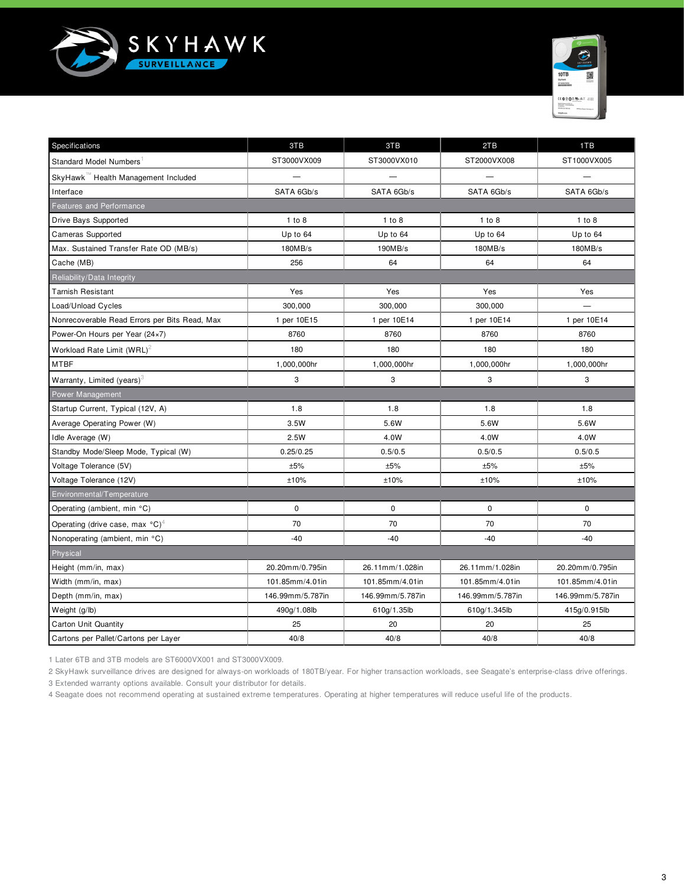



| Specifications                                        | 3TB              | 3TB              | 2TB              | 1TB              |  |  |  |  |  |
|-------------------------------------------------------|------------------|------------------|------------------|------------------|--|--|--|--|--|
| Standard Model Numbers                                | ST3000VX009      | ST3000VX010      | ST2000VX008      | ST1000VX005      |  |  |  |  |  |
| SkyHawk™ Health Management Included                   |                  |                  |                  |                  |  |  |  |  |  |
| Interface                                             | SATA 6Gb/s       | SATA 6Gb/s       | SATA 6Gb/s       | SATA 6Gb/s       |  |  |  |  |  |
| <b>Features and Performance</b>                       |                  |                  |                  |                  |  |  |  |  |  |
| Drive Bays Supported                                  | 1 to 8           | 1 to 8           | 1 to 8           | 1 to 8           |  |  |  |  |  |
| <b>Cameras Supported</b>                              | Up to 64         | Up to 64         | Up to 64         | Up to 64         |  |  |  |  |  |
| Max. Sustained Transfer Rate OD (MB/s)                | 180MB/s          | 190MB/s          | 180MB/s          | 180MB/s          |  |  |  |  |  |
| Cache (MB)                                            | 256              | 64               | 64               | 64               |  |  |  |  |  |
| Reliability/Data Integrity                            |                  |                  |                  |                  |  |  |  |  |  |
| <b>Tarnish Resistant</b>                              | Yes              | Yes              | Yes              | Yes              |  |  |  |  |  |
| Load/Unload Cycles                                    | 300,000          | 300,000          | 300,000          |                  |  |  |  |  |  |
| Nonrecoverable Read Errors per Bits Read, Max         | 1 per 10E15      | 1 per 10E14      | 1 per 10E14      | 1 per 10E14      |  |  |  |  |  |
| Power-On Hours per Year (24×7)                        | 8760             | 8760             | 8760             | 8760             |  |  |  |  |  |
| Workload Rate Limit (WRL) <sup>2</sup>                | 180              | 180              | 180              | 180              |  |  |  |  |  |
| MTBF                                                  | 1,000,000hr      | 1,000,000hr      | 1,000,000hr      | 1,000,000hr      |  |  |  |  |  |
| Warranty, Limited (years) $3$                         | 3                | 3                | 3                | 3                |  |  |  |  |  |
| Power Management                                      |                  |                  |                  |                  |  |  |  |  |  |
| Startup Current, Typical (12V, A)                     | 1.8              | 1.8              | 1.8              | 1.8              |  |  |  |  |  |
| Average Operating Power (W)                           | 3.5W             | 5.6W             | 5.6W             | 5.6W             |  |  |  |  |  |
| Idle Average (W)                                      | 2.5W             | 4.0W             | 4.0W             | 4.0W             |  |  |  |  |  |
| Standby Mode/Sleep Mode, Typical (W)                  | 0.25/0.25        | 0.5/0.5          | 0.5/0.5          | 0.5/0.5          |  |  |  |  |  |
| Voltage Tolerance (5V)                                | ±5%              | ±5%              | ±5%              | ±5%              |  |  |  |  |  |
| Voltage Tolerance (12V)                               | ±10%             | ±10%             | ±10%             | ±10%             |  |  |  |  |  |
| Environmental/Temperature                             |                  |                  |                  |                  |  |  |  |  |  |
| Operating (ambient, min °C)                           | $\mathbf 0$      | $\mathbf 0$      | $\mathbf 0$      | $\mathbf 0$      |  |  |  |  |  |
| Operating (drive case, max $^{\circ}$ C) <sup>4</sup> | 70               | 70               | 70               | 70               |  |  |  |  |  |
| Nonoperating (ambient, min °C)                        | $-40$            | $-40$            | $-40$            | $-40$            |  |  |  |  |  |
| Physical                                              |                  |                  |                  |                  |  |  |  |  |  |
| Height (mm/in, max)                                   | 20.20mm/0.795in  | 26.11mm/1.028in  | 26.11mm/1.028in  | 20.20mm/0.795in  |  |  |  |  |  |
| Width (mm/in, max)                                    | 101.85mm/4.01in  | 101.85mm/4.01in  | 101.85mm/4.01in  | 101.85mm/4.01in  |  |  |  |  |  |
| Depth (mm/in, max)                                    | 146.99mm/5.787in | 146.99mm/5.787in | 146.99mm/5.787in | 146.99mm/5.787in |  |  |  |  |  |
| Weight (g/lb)                                         | 490g/1.08lb      | 610g/1.35lb      | 610g/1.345lb     | 415g/0.915lb     |  |  |  |  |  |
| <b>Carton Unit Quantity</b>                           | 25               | 20               | 20               | 25               |  |  |  |  |  |
| Cartons per Pallet/Cartons per Layer                  | 40/8             | 40/8             | 40/8             | 40/8             |  |  |  |  |  |

1 Later 6TB and 3TB models are ST6000VX001 and ST3000VX009.

2 SkyHawk surveillance drives are designed for always-on workloads of 180TB/year. For higher transaction workloads, see Seagate's enterprise-class drive offerings.

3 Extended warranty options available. Consult your distributor for details.

4 Seagate does not recommend operating at sustained extreme temperatures. Operating at higher temperatures will reduce useful life of the products.